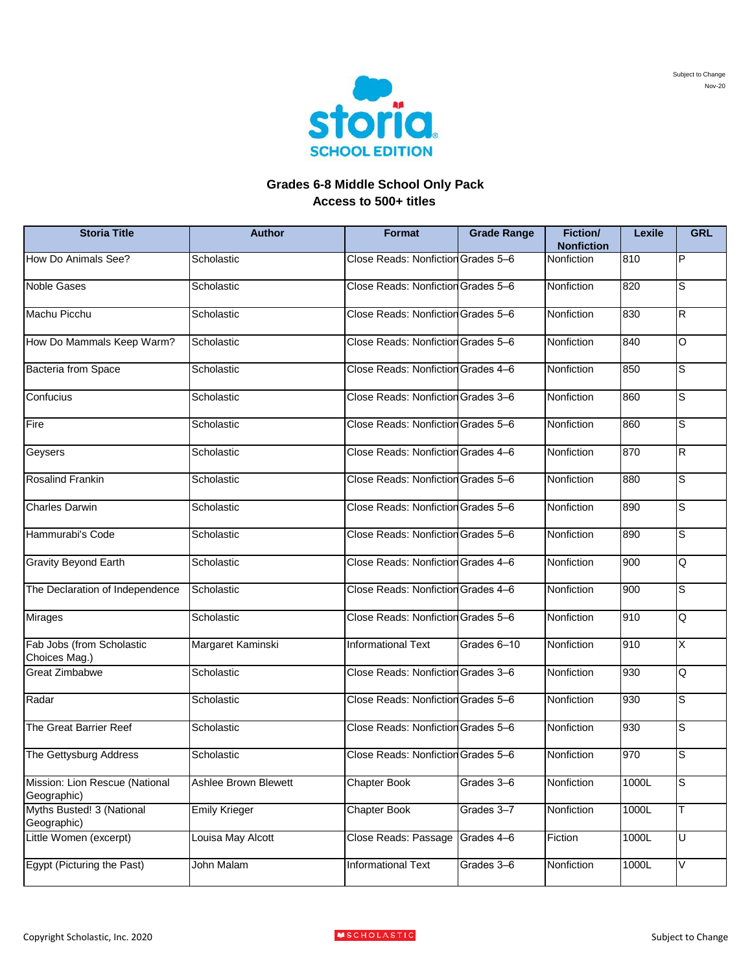

## **Grades 6-8 Middle School Only Pack Access to 500+ titles**

| <b>Storia Title</b>                           | <b>Author</b>        | Format                             | <b>Grade Range</b> | <b>Fiction/</b><br><b>Nonfiction</b> | Lexile | <b>GRL</b> |
|-----------------------------------------------|----------------------|------------------------------------|--------------------|--------------------------------------|--------|------------|
| How Do Animals See?                           | Scholastic           | Close Reads: Nonfiction Grades 5-6 |                    | <b>Nonfiction</b>                    | 810    | P          |
| <b>Noble Gases</b>                            | Scholastic           | Close Reads: Nonfiction Grades 5-6 |                    | Nonfiction                           | 820    | S          |
| Machu Picchu                                  | Scholastic           | Close Reads: Nonfiction Grades 5-6 |                    | Nonfiction                           | 830    | R          |
| How Do Mammals Keep Warm?                     | Scholastic           | Close Reads: Nonfiction Grades 5-6 |                    | Nonfiction                           | 840    | O          |
| Bacteria from Space                           | Scholastic           | Close Reads: Nonfiction Grades 4-6 |                    | Nonfiction                           | 850    | S          |
| Confucius                                     | Scholastic           | Close Reads: Nonfiction Grades 3-6 |                    | Nonfiction                           | 860    | S          |
| Fire                                          | Scholastic           | Close Reads: Nonfiction Grades 5-6 |                    | Nonfiction                           | 860    | S          |
| Geysers                                       | Scholastic           | Close Reads: Nonfiction Grades 4-6 |                    | Nonfiction                           | 870    | R          |
| <b>Rosalind Frankin</b>                       | Scholastic           | Close Reads: Nonfiction Grades 5-6 |                    | Nonfiction                           | 880    | S          |
| <b>Charles Darwin</b>                         | Scholastic           | Close Reads: Nonfiction Grades 5-6 |                    | Nonfiction                           | 890    | S          |
| Hammurabi's Code                              | Scholastic           | Close Reads: Nonfiction Grades 5-6 |                    | Nonfiction                           | 890    | S          |
| <b>Gravity Beyond Earth</b>                   | Scholastic           | Close Reads: Nonfiction Grades 4-6 |                    | Nonfiction                           | 900    | Q          |
| The Declaration of Independence               | Scholastic           | Close Reads: Nonfiction Grades 4-6 |                    | Nonfiction                           | 900    | S          |
| <b>Mirages</b>                                | Scholastic           | Close Reads: Nonfiction Grades 5-6 |                    | Nonfiction                           | 910    | Q          |
| Fab Jobs (from Scholastic<br>Choices Mag.)    | Margaret Kaminski    | Informational Text                 | Grades 6-10        | Nonfiction                           | 910    | X          |
| <b>Great Zimbabwe</b>                         | Scholastic           | Close Reads: Nonfiction Grades 3-6 |                    | Nonfiction                           | 930    | Q          |
| Radar                                         | Scholastic           | Close Reads: Nonfiction Grades 5-6 |                    | Nonfiction                           | 930    | S          |
| The Great Barrier Reef                        | Scholastic           | Close Reads: Nonfiction Grades 5-6 |                    | Nonfiction                           | 930    | S          |
| The Gettysburg Address                        | Scholastic           | Close Reads: Nonfiction Grades 5-6 |                    | Nonfiction                           | 970    | S          |
| Mission: Lion Rescue (National<br>Geographic) | Ashlee Brown Blewett | <b>Chapter Book</b>                | Grades 3-6         | Nonfiction                           | 1000L  | S          |
| Myths Busted! 3 (National<br>Geographic)      | <b>Emily Krieger</b> | <b>Chapter Book</b>                | Grades 3-7         | Nonfiction                           | 1000L  | T.         |
| Little Women (excerpt)                        | Louisa May Alcott    | Close Reads: Passage               | Grades 4-6         | Fiction                              | 1000L  | U          |
| Egypt (Picturing the Past)                    | John Malam           | <b>Informational Text</b>          | Grades 3-6         | Nonfiction                           | 1000L  | V          |



Nov-20 Subject to Change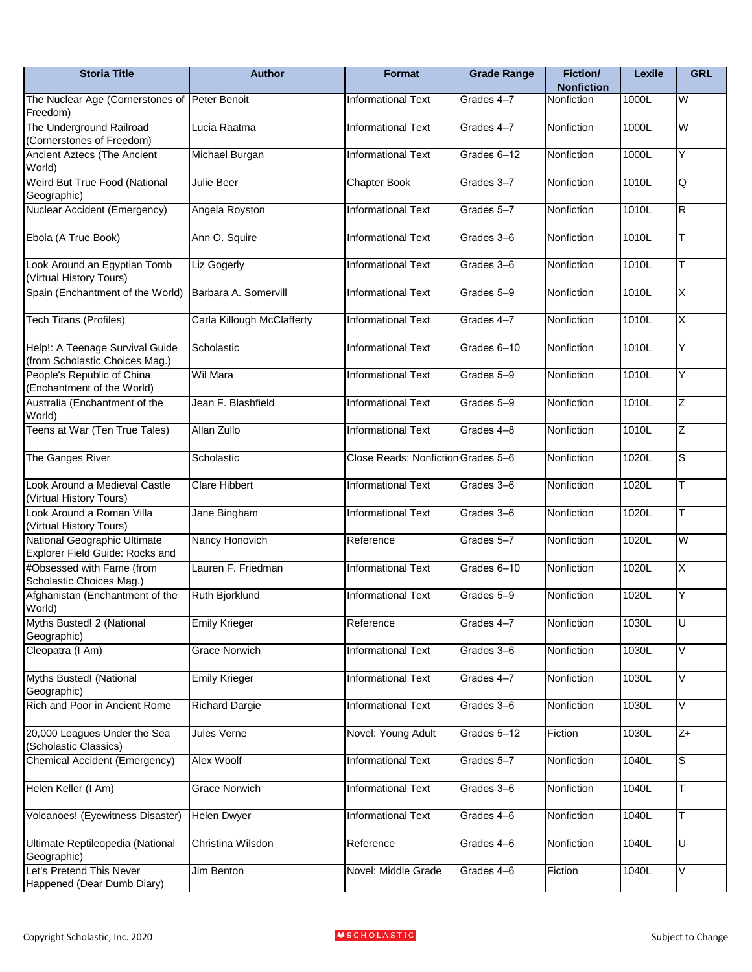| <b>Storia Title</b>                                               | <b>Author</b>              | Format                             | <b>Grade Range</b> | <b>Fiction/</b><br><b>Nonfiction</b> | Lexile | <b>GRL</b>              |
|-------------------------------------------------------------------|----------------------------|------------------------------------|--------------------|--------------------------------------|--------|-------------------------|
| The Nuclear Age (Cornerstones of Peter Benoit<br>Freedom)         |                            | Informational Text                 | Grades 4-7         | Nonfiction                           | 1000L  | W                       |
| The Underground Railroad<br>(Cornerstones of Freedom)             | Lucia Raatma               | <b>Informational Text</b>          | Grades 4-7         | Nonfiction                           | 1000L  | W                       |
| Ancient Aztecs (The Ancient<br>World)                             | Michael Burgan             | Informational Text                 | Grades 6-12        | Nonfiction                           | 1000L  | Υ                       |
| Weird But True Food (National<br>Geographic)                      | Julie Beer                 | Chapter Book                       | Grades 3-7         | Nonfiction                           | 1010L  | Q                       |
| Nuclear Accident (Emergency)                                      | Angela Royston             | <b>Informational Text</b>          | Grades 5-7         | Nonfiction                           | 1010L  | $\overline{\mathsf{R}}$ |
| Ebola (A True Book)                                               | Ann O. Squire              | <b>Informational Text</b>          | Grades 3-6         | Nonfiction                           | 1010L  | T                       |
| Look Around an Egyptian Tomb<br>(Virtual History Tours)           | <b>Liz Gogerly</b>         | <b>Informational Text</b>          | Grades 3-6         | Nonfiction                           | 1010L  | T                       |
| Spain (Enchantment of the World)                                  | Barbara A. Somervill       | <b>Informational Text</b>          | Grades 5-9         | Nonfiction                           | 1010L  | X                       |
| <b>Tech Titans (Profiles)</b>                                     | Carla Killough McClafferty | <b>Informational Text</b>          | Grades 4-7         | Nonfiction                           | 1010L  | X                       |
| Help!: A Teenage Survival Guide<br>(from Scholastic Choices Mag.) | Scholastic                 | <b>Informational Text</b>          | Grades 6-10        | Nonfiction                           | 1010L  | Υ                       |
| People's Republic of China<br>(Enchantment of the World)          | Wil Mara                   | <b>Informational Text</b>          | Grades 5-9         | Nonfiction                           | 1010L  | Y                       |
| Australia (Enchantment of the<br>World)                           | Jean F. Blashfield         | Informational Text                 | Grades 5-9         | Nonfiction                           | 1010L  | Z                       |
| Teens at War (Ten True Tales)                                     | Allan Zullo                | <b>Informational Text</b>          | Grades 4-8         | Nonfiction                           | 1010L  | Ζ                       |
| The Ganges River                                                  | Scholastic                 | Close Reads: Nonfiction Grades 5-6 |                    | Nonfiction                           | 1020L  | S                       |
| Look Around a Medieval Castle<br>(Virtual History Tours)          | <b>Clare Hibbert</b>       | <b>Informational Text</b>          | Grades 3-6         | Nonfiction                           | 1020L  | Т                       |
| Look Around a Roman Villa<br>(Virtual History Tours)              | Jane Bingham               | <b>Informational Text</b>          | Grades 3-6         | Nonfiction                           | 1020L  | T                       |
| National Geographic Ultimate<br>Explorer Field Guide: Rocks and   | Nancy Honovich             | Reference                          | Grades 5-7         | Nonfiction                           | 1020L  | W                       |
| #Obsessed with Fame (from<br>Scholastic Choices Mag.)             | Lauren F. Friedman         | Informational Text                 | Grades 6-10        | Nonfiction                           | 1020L  | Χ                       |
| Afghanistan (Enchantment of the<br>World)                         | Ruth Bjorklund             | <b>Informational Text</b>          | Grades 5-9         | Nonfiction                           | 1020L  | Y                       |
| Myths Busted! 2 (National<br>Geographic)                          | <b>Emily Krieger</b>       | Reference                          | Grades 4-7         | Nonfiction                           | 1030L  | U                       |
| Cleopatra (I Am)                                                  | <b>Grace Norwich</b>       | <b>Informational Text</b>          | Grades 3-6         | Nonfiction                           | 1030L  | V                       |
| Myths Busted! (National<br>Geographic)                            | <b>Emily Krieger</b>       | Informational Text                 | Grades 4-7         | Nonfiction                           | 1030L  | V                       |
| Rich and Poor in Ancient Rome                                     | <b>Richard Dargie</b>      | <b>Informational Text</b>          | Grades 3-6         | Nonfiction                           | 1030L  | V                       |
| 20,000 Leagues Under the Sea<br>(Scholastic Classics)             | Jules Verne                | Novel: Young Adult                 | Grades 5-12        | Fiction                              | 1030L  | Z+                      |
| Chemical Accident (Emergency)                                     | <b>Alex Woolf</b>          | <b>Informational Text</b>          | Grades 5-7         | Nonfiction                           | 1040L  | S                       |
| Helen Keller (I Am)                                               | Grace Norwich              | Informational Text                 | Grades 3-6         | Nonfiction                           | 1040L  | Т                       |
| Volcanoes! (Eyewitness Disaster)                                  | <b>Helen Dwyer</b>         | Informational Text                 | Grades 4-6         | Nonfiction                           | 1040L  | Т                       |
| Ultimate Reptileopedia (National<br>Geographic)                   | Christina Wilsdon          | Reference                          | Grades 4-6         | Nonfiction                           | 1040L  | $\overline{\mathsf{U}}$ |
| Let's Pretend This Never<br>Happened (Dear Dumb Diary)            | Jim Benton                 | Novel: Middle Grade                | Grades 4-6         | Fiction                              | 1040L  | V                       |

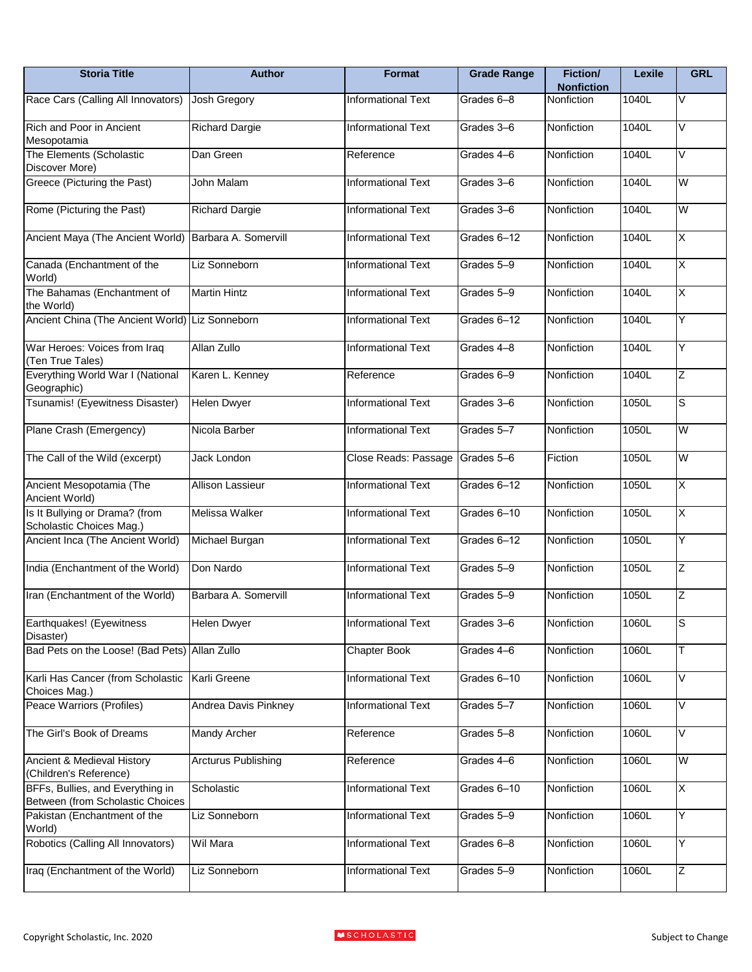| <b>Storia Title</b>                                                  | <b>Author</b>              | Format                    | <b>Grade Range</b> | <b>Fiction/</b><br><b>Nonfiction</b> | Lexile | <b>GRL</b>  |
|----------------------------------------------------------------------|----------------------------|---------------------------|--------------------|--------------------------------------|--------|-------------|
| Race Cars (Calling All Innovators)                                   | Josh Gregory               | <b>Informational Text</b> | Grades 6-8         | <b>Nonfiction</b>                    | 1040L  | V           |
| <b>Rich and Poor in Ancient</b><br>Mesopotamia                       | <b>Richard Dargie</b>      | <b>Informational Text</b> | Grades 3-6         | Nonfiction                           | 1040L  | V           |
| The Elements (Scholastic<br>Discover More)                           | Dan Green                  | Reference                 | Grades 4-6         | Nonfiction                           | 1040L  | V           |
| Greece (Picturing the Past)                                          | John Malam                 | <b>Informational Text</b> | Grades 3-6         | Nonfiction                           | 1040L  | W           |
| Rome (Picturing the Past)                                            | <b>Richard Dargie</b>      | <b>Informational Text</b> | Grades 3-6         | Nonfiction                           | 1040L  | W           |
| Ancient Maya (The Ancient World)                                     | Barbara A. Somervill       | <b>Informational Text</b> | Grades 6-12        | Nonfiction                           | 1040L  | Χ           |
| Canada (Enchantment of the<br>World)                                 | Liz Sonneborn              | <b>Informational Text</b> | Grades 5-9         | Nonfiction                           | 1040L  | Χ           |
| The Bahamas (Enchantment of<br>the World)                            | <b>Martin Hintz</b>        | <b>Informational Text</b> | Grades 5-9         | Nonfiction                           | 1040L  | Χ           |
| Ancient China (The Ancient World) Liz Sonneborn                      |                            | <b>Informational Text</b> | Grades 6-12        | Nonfiction                           | 1040L  | Y           |
| War Heroes: Voices from Iraq<br>(Ten True Tales)                     | Allan Zullo                | <b>Informational Text</b> | Grades 4-8         | Nonfiction                           | 1040L  | Y           |
| Everything World War I (National<br>Geographic)                      | Karen L. Kenney            | Reference                 | Grades 6-9         | Nonfiction                           | 1040L  | Ζ           |
| Tsunamis! (Eyewitness Disaster)                                      | <b>Helen Dwyer</b>         | Informational Text        | Grades 3-6         | Nonfiction                           | 1050L  | S           |
| Plane Crash (Emergency)                                              | Nicola Barber              | <b>Informational Text</b> | Grades 5-7         | Nonfiction                           | 1050L  | W           |
| The Call of the Wild (excerpt)                                       | Jack London                | Close Reads: Passage      | Grades 5-6         | Fiction                              | 1050L  | W           |
| Ancient Mesopotamia (The<br>Ancient World)                           | Allison Lassieur           | <b>Informational Text</b> | Grades 6-12        | Nonfiction                           | 1050L  | X           |
| Is It Bullying or Drama? (from<br>Scholastic Choices Mag.)           | Melissa Walker             | Informational Text        | Grades 6-10        | Nonfiction                           | 1050L  | Χ           |
| Ancient Inca (The Ancient World)                                     | Michael Burgan             | <b>Informational Text</b> | Grades 6-12        | Nonfiction                           | 1050L  | Υ           |
| India (Enchantment of the World)                                     | Don Nardo                  | Informational Text        | Grades 5-9         | Nonfiction                           | 1050L  | Z           |
| Iran (Enchantment of the World)                                      | Barbara A. Somervill       | <b>Informational Text</b> | Grades 5-9         | Nonfiction                           | 1050L  | Z           |
| Earthquakes! (Eyewitness<br>Disaster)                                | <b>Helen Dwyer</b>         | <b>Informational Text</b> | Grades 3-6         | Nonfiction                           | 1060L  | $\mathsf S$ |
| Bad Pets on the Loose! (Bad Pets) Allan Zullo                        |                            | Chapter Book              | Grades 4-6         | Nonfiction                           | 1060L  | T           |
| Karli Has Cancer (from Scholastic<br>Choices Mag.)                   | Karli Greene               | <b>Informational Text</b> | Grades 6-10        | Nonfiction                           | 1060L  | V           |
| Peace Warriors (Profiles)                                            | Andrea Davis Pinkney       | <b>Informational Text</b> | Grades 5-7         | Nonfiction                           | 1060L  | V           |
| The Girl's Book of Dreams                                            | <b>Mandy Archer</b>        | Reference                 | Grades 5-8         | Nonfiction                           | 1060L  | V           |
| Ancient & Medieval History<br>(Children's Reference)                 | <b>Arcturus Publishing</b> | Reference                 | Grades 4-6         | Nonfiction                           | 1060L  | W           |
| BFFs, Bullies, and Everything in<br>Between (from Scholastic Choices | Scholastic                 | Informational Text        | Grades 6-10        | Nonfiction                           | 1060L  | X           |
| Pakistan (Enchantment of the<br>World)                               | Liz Sonneborn              | Informational Text        | Grades 5-9         | Nonfiction                           | 1060L  | Υ           |
| Robotics (Calling All Innovators)                                    | Wil Mara                   | <b>Informational Text</b> | Grades 6-8         | Nonfiction                           | 1060L  | Υ           |
| Iraq (Enchantment of the World)                                      | Liz Sonneborn              | <b>Informational Text</b> | Grades 5-9         | Nonfiction                           | 1060L  | Ζ           |

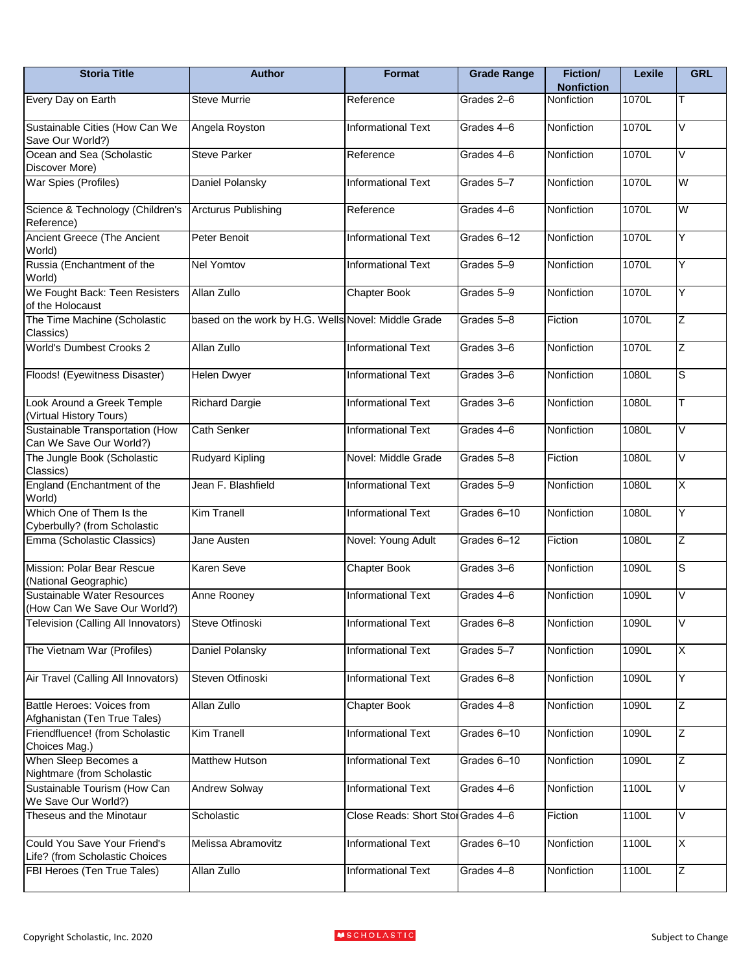| <b>Storia Title</b>                                            | <b>Author</b>                                       | <b>Format</b>                      | <b>Grade Range</b> | Fiction/<br><b>Nonfiction</b> | Lexile | <b>GRL</b>              |
|----------------------------------------------------------------|-----------------------------------------------------|------------------------------------|--------------------|-------------------------------|--------|-------------------------|
| Every Day on Earth                                             | Steve Murrie                                        | Reference                          | Grades 2-6         | <b>Nonfiction</b>             | 1070L  | T                       |
| Sustainable Cities (How Can We<br>Save Our World?)             | Angela Royston                                      | Informational Text                 | Grades 4-6         | Nonfiction                    | 1070L  | V                       |
| Ocean and Sea (Scholastic<br>Discover More)                    | <b>Steve Parker</b>                                 | Reference                          | Grades 4-6         | Nonfiction                    | 1070L  | V                       |
| War Spies (Profiles)                                           | Daniel Polansky                                     | <b>Informational Text</b>          | Grades 5-7         | Nonfiction                    | 1070L  | W                       |
| Science & Technology (Children's<br>Reference)                 | <b>Arcturus Publishing</b>                          | Reference                          | Grades 4-6         | Nonfiction                    | 1070L  | W                       |
| Ancient Greece (The Ancient<br>World)                          | Peter Benoit                                        | <b>Informational Text</b>          | Grades 6-12        | Nonfiction                    | 1070L  | Y                       |
| Russia (Enchantment of the<br>World)                           | <b>Nel Yomtov</b>                                   | <b>Informational Text</b>          | Grades 5-9         | Nonfiction                    | 1070L  | Y                       |
| We Fought Back: Teen Resisters<br>of the Holocaust             | Allan Zullo                                         | Chapter Book                       | Grades 5-9         | Nonfiction                    | 1070L  | Y                       |
| The Time Machine (Scholastic<br>Classics)                      | based on the work by H.G. Wells Novel: Middle Grade |                                    | Grades 5-8         | Fiction                       | 1070L  | Z                       |
| <b>World's Dumbest Crooks 2</b>                                | Allan Zullo                                         | <b>Informational Text</b>          | Grades 3-6         | Nonfiction                    | 1070L  | Z                       |
| Floods! (Eyewitness Disaster)                                  | <b>Helen Dwyer</b>                                  | <b>Informational Text</b>          | Grades 3-6         | Nonfiction                    | 1080L  | S                       |
| Look Around a Greek Temple<br>(Virtual History Tours)          | <b>Richard Dargie</b>                               | <b>Informational Text</b>          | Grades 3-6         | Nonfiction                    | 1080L  | T                       |
| Sustainable Transportation (How<br>Can We Save Our World?)     | <b>Cath Senker</b>                                  | <b>Informational Text</b>          | Grades 4-6         | Nonfiction                    | 1080L  | V                       |
| The Jungle Book (Scholastic<br>Classics)                       | Rudyard Kipling                                     | Novel: Middle Grade                | Grades 5-8         | Fiction                       | 1080L  | V                       |
| England (Enchantment of the<br>World)                          | Jean F. Blashfield                                  | <b>Informational Text</b>          | Grades 5-9         | Nonfiction                    | 1080L  | $\overline{\mathsf{X}}$ |
| Which One of Them Is the<br>Cyberbully? (from Scholastic       | <b>Kim Tranell</b>                                  | <b>Informational Text</b>          | Grades 6-10        | Nonfiction                    | 1080L  | Y                       |
| Emma (Scholastic Classics)                                     | Jane Austen                                         | Novel: Young Adult                 | Grades 6-12        | Fiction                       | 1080L  | Ζ                       |
| Mission: Polar Bear Rescue<br>(National Geographic)            | <b>Karen Seve</b>                                   | <b>Chapter Book</b>                | Grades 3-6         | Nonfiction                    | 1090L  | S                       |
| Sustainable Water Resources<br>(How Can We Save Our World?)    | Anne Rooney                                         | <b>Informational Text</b>          | Grades 4-6         | Nonfiction                    | 1090L  | V                       |
| Television (Calling All Innovators)                            | Steve Otfinoski                                     | Informational Text                 | Grades 6-8         | Nonfiction                    | 1090L  | Λ                       |
| The Vietnam War (Profiles)                                     | Daniel Polansky                                     | <b>Informational Text</b>          | Grades 5-7         | Nonfiction                    | 1090L  | X                       |
| Air Travel (Calling All Innovators)                            | Steven Otfinoski                                    | <b>Informational Text</b>          | Grades 6-8         | Nonfiction                    | 1090L  | Υ                       |
| Battle Heroes: Voices from<br>Afghanistan (Ten True Tales)     | Allan Zullo                                         | Chapter Book                       | Grades 4-8         | Nonfiction                    | 1090L  | Ζ                       |
| Friendfluence! (from Scholastic<br>Choices Mag.)               | <b>Kim Tranell</b>                                  | <b>Informational Text</b>          | Grades 6-10        | Nonfiction                    | 1090L  | Ζ                       |
| When Sleep Becomes a<br>Nightmare (from Scholastic             | <b>Matthew Hutson</b>                               | <b>Informational Text</b>          | Grades 6-10        | Nonfiction                    | 1090L  | Ζ                       |
| Sustainable Tourism (How Can<br>We Save Our World?)            | <b>Andrew Solway</b>                                | <b>Informational Text</b>          | Grades 4-6         | Nonfiction                    | 1100L  | Λ                       |
| Theseus and the Minotaur                                       | Scholastic                                          | Close Reads: Short Stol Grades 4-6 |                    | Fiction                       | 1100L  | V                       |
| Could You Save Your Friend's<br>Life? (from Scholastic Choices | Melissa Abramovitz                                  | <b>Informational Text</b>          | Grades 6-10        | Nonfiction                    | 1100L  | $\overline{\mathsf{x}}$ |
| FBI Heroes (Ten True Tales)                                    | Allan Zullo                                         | <b>Informational Text</b>          | Grades 4-8         | Nonfiction                    | 1100L  | Z                       |

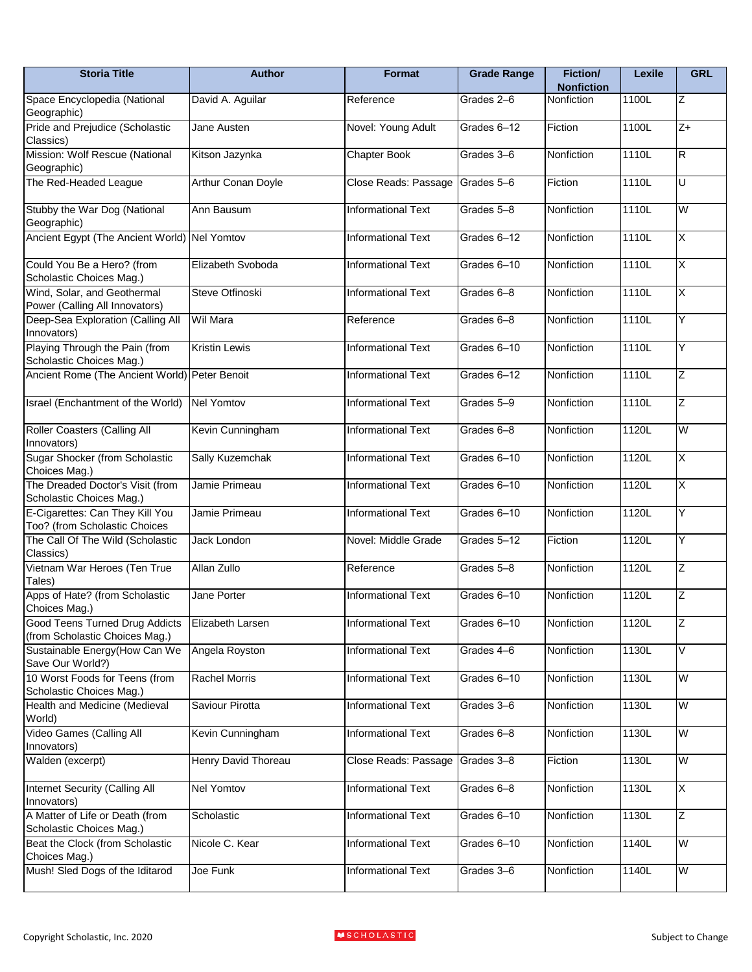| <b>Storia Title</b>                                              | <b>Author</b>             | Format                    | <b>Grade Range</b> | Fiction/<br><b>Nonfiction</b> | Lexile | <b>GRL</b>              |
|------------------------------------------------------------------|---------------------------|---------------------------|--------------------|-------------------------------|--------|-------------------------|
| Space Encyclopedia (National<br>Geographic)                      | David A. Aguilar          | Reference                 | Grades 2-6         | <b>Nonfiction</b>             | 1100L  | Ζ                       |
| Pride and Prejudice (Scholastic<br>Classics)                     | Jane Austen               | Novel: Young Adult        | Grades 6-12        | Fiction                       | 1100L  | $Z+$                    |
| Mission: Wolf Rescue (National<br>Geographic)                    | Kitson Jazynka            | Chapter Book              | Grades 3-6         | Nonfiction                    | 1110L  | $\overline{\mathsf{R}}$ |
| The Red-Headed League                                            | <b>Arthur Conan Doyle</b> | Close Reads: Passage      | Grades 5-6         | Fiction                       | 1110L  | U                       |
| Stubby the War Dog (National<br>Geographic)                      | Ann Bausum                | <b>Informational Text</b> | Grades 5-8         | Nonfiction                    | 1110L  | W                       |
| Ancient Egypt (The Ancient World) Nel Yomtov                     |                           | Informational Text        | Grades 6-12        | Nonfiction                    | 1110L  | Χ                       |
| Could You Be a Hero? (from<br>Scholastic Choices Mag.)           | Elizabeth Svoboda         | Informational Text        | Grades 6-10        | Nonfiction                    | 1110L  | $\overline{\mathsf{X}}$ |
| Wind, Solar, and Geothermal<br>Power (Calling All Innovators)    | Steve Otfinoski           | Informational Text        | Grades 6-8         | Nonfiction                    | 1110L  | X                       |
| Deep-Sea Exploration (Calling All<br>Innovators)                 | <b>Wil Mara</b>           | Reference                 | Grades 6-8         | Nonfiction                    | 1110L  | Υ                       |
| Playing Through the Pain (from<br>Scholastic Choices Mag.)       | <b>Kristin Lewis</b>      | Informational Text        | Grades 6-10        | Nonfiction                    | 1110L  | Υ                       |
| Ancient Rome (The Ancient World) Peter Benoit                    |                           | <b>Informational Text</b> | Grades 6-12        | Nonfiction                    | 1110L  | Z                       |
| Israel (Enchantment of the World)                                | Nel Yomtov                | <b>Informational Text</b> | Grades 5-9         | Nonfiction                    | 1110L  | Z                       |
| Roller Coasters (Calling All<br>Innovators)                      | Kevin Cunningham          | <b>Informational Text</b> | Grades 6-8         | Nonfiction                    | 1120L  | W                       |
| Sugar Shocker (from Scholastic<br>Choices Mag.)                  | Sally Kuzemchak           | <b>Informational Text</b> | Grades 6-10        | Nonfiction                    | 1120L  | X                       |
| The Dreaded Doctor's Visit (from<br>Scholastic Choices Mag.)     | Jamie Primeau             | Informational Text        | Grades 6-10        | Nonfiction                    | 1120L  | $\overline{\mathsf{x}}$ |
| E-Cigarettes: Can They Kill You<br>Too? (from Scholastic Choices | Jamie Primeau             | <b>Informational Text</b> | Grades 6-10        | Nonfiction                    | 1120L  | Y                       |
| The Call Of The Wild (Scholastic<br>Classics)                    | Jack London               | Novel: Middle Grade       | Grades 5-12        | Fiction                       | 1120L  | Y                       |
| Vietnam War Heroes (Ten True<br>Tales)                           | Allan Zullo               | Reference                 | Grades 5-8         | Nonfiction                    | 1120L  | Z                       |
| Apps of Hate? (from Scholastic<br>Choices Mag.)                  | Jane Porter               | <b>Informational Text</b> | Grades 6-10        | Nonfiction                    | 1120L  | Z                       |
| Good Teens Turned Drug Addicts<br>(from Scholastic Choices Mag.) | Elizabeth Larsen          | <b>Informational Text</b> | Grades 6-10        | Nonfiction                    | 1120L  | Ζ                       |
| Sustainable Energy (How Can We<br>Save Our World?)               | Angela Royston            | <b>Informational Text</b> | Grades 4-6         | Nonfiction                    | 1130L  | V                       |
| 10 Worst Foods for Teens (from<br>Scholastic Choices Mag.)       | <b>Rachel Morris</b>      | Informational Text        | Grades 6-10        | Nonfiction                    | 1130L  | W                       |
| Health and Medicine (Medieval<br>World)                          | Saviour Pirotta           | Informational Text        | Grades 3-6         | Nonfiction                    | 1130L  | W                       |
| Video Games (Calling All<br>Innovators)                          | Kevin Cunningham          | <b>Informational Text</b> | Grades 6-8         | Nonfiction                    | 1130L  | W                       |
| Walden (excerpt)                                                 | Henry David Thoreau       | Close Reads: Passage      | Grades 3-8         | Fiction                       | 1130L  | W                       |
| Internet Security (Calling All<br>Innovators)                    | <b>Nel Yomtov</b>         | Informational Text        | Grades 6-8         | Nonfiction                    | 1130L  | X                       |
| A Matter of Life or Death (from<br>Scholastic Choices Mag.)      | Scholastic                | Informational Text        | Grades 6-10        | Nonfiction                    | 1130L  | Z                       |
| Beat the Clock (from Scholastic                                  | Nicole C. Kear            | <b>Informational Text</b> | Grades 6-10        | Nonfiction                    | 1140L  | W                       |
| Choices Mag.)<br>Mush! Sled Dogs of the Iditarod                 | Joe Funk                  | Informational Text        | Grades 3-6         | Nonfiction                    | 1140L  | W                       |

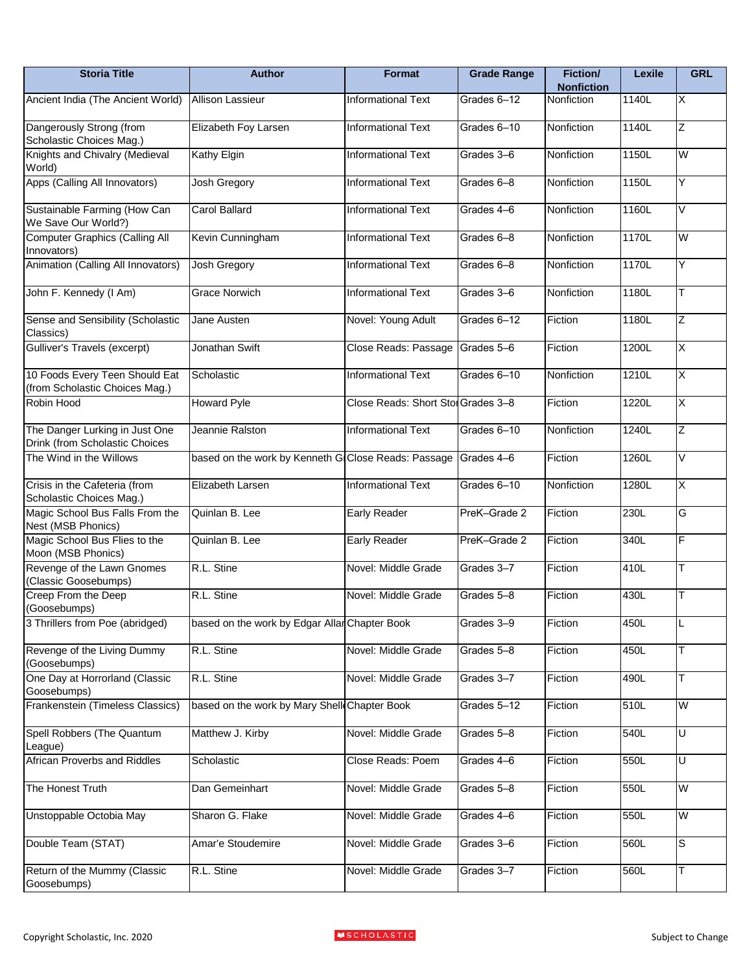| <b>Storia Title</b>                                              | <b>Author</b>                                       | Format                             | <b>Grade Range</b> | <b>Fiction/</b><br><b>Nonfiction</b> | Lexile | <b>GRL</b>              |
|------------------------------------------------------------------|-----------------------------------------------------|------------------------------------|--------------------|--------------------------------------|--------|-------------------------|
| Ancient India (The Ancient World)                                | <b>Allison Lassieur</b>                             | <b>Informational Text</b>          | Grades 6-12        | Nonfiction                           | 1140L  | $\overline{\mathsf{x}}$ |
| Dangerously Strong (from<br>Scholastic Choices Mag.)             | Elizabeth Foy Larsen                                | <b>Informational Text</b>          | Grades 6-10        | Nonfiction                           | 1140L  | Z                       |
| Knights and Chivalry (Medieval<br>World)                         | Kathy Elgin                                         | <b>Informational Text</b>          | Grades 3-6         | Nonfiction                           | 1150L  | W                       |
| Apps (Calling All Innovators)                                    | Josh Gregory                                        | Informational Text                 | Grades 6-8         | Nonfiction                           | 1150L  | Υ                       |
| Sustainable Farming (How Can<br>We Save Our World?)              | <b>Carol Ballard</b>                                | Informational Text                 | Grades 4-6         | Nonfiction                           | 1160L  | V                       |
| <b>Computer Graphics (Calling All</b><br>Innovators)             | Kevin Cunningham                                    | <b>Informational Text</b>          | Grades 6-8         | Nonfiction                           | 1170L  | W                       |
| Animation (Calling All Innovators)                               | Josh Gregory                                        | <b>Informational Text</b>          | Grades 6-8         | Nonfiction                           | 1170L  | Υ                       |
| John F. Kennedy (I Am)                                           | <b>Grace Norwich</b>                                | <b>Informational Text</b>          | Grades 3-6         | Nonfiction                           | 1180L  | T                       |
| Sense and Sensibility (Scholastic<br>Classics)                   | Jane Austen                                         | Novel: Young Adult                 | Grades 6-12        | Fiction                              | 1180L  | Ζ                       |
| Gulliver's Travels (excerpt)                                     | Jonathan Swift                                      | Close Reads: Passage               | Grades 5-6         | Fiction                              | 1200L  | $\overline{\mathsf{x}}$ |
| 10 Foods Every Teen Should Eat<br>(from Scholastic Choices Mag.) | Scholastic                                          | Informational Text                 | Grades 6-10        | Nonfiction                           | 1210L  | $\overline{\mathsf{x}}$ |
| Robin Hood                                                       | <b>Howard Pyle</b>                                  | Close Reads: Short Stol Grades 3-8 |                    | Fiction                              | 1220L  | Χ                       |
| The Danger Lurking in Just One<br>Drink (from Scholastic Choices | Jeannie Ralston                                     | <b>Informational Text</b>          | Grades 6-10        | Nonfiction                           | 1240L  | Ζ                       |
| The Wind in the Willows                                          | based on the work by Kenneth G Close Reads: Passage |                                    | Grades 4-6         | Fiction                              | 1260L  | V                       |
| Crisis in the Cafeteria (from<br>Scholastic Choices Mag.)        | Elizabeth Larsen                                    | <b>Informational Text</b>          | Grades 6-10        | Nonfiction                           | 1280L  | X                       |
| Magic School Bus Falls From the<br>Nest (MSB Phonics)            | Quinlan B. Lee                                      | <b>Early Reader</b>                | PreK-Grade 2       | Fiction                              | 230L   | G                       |
| Magic School Bus Flies to the<br>Moon (MSB Phonics)              | Quinlan B. Lee                                      | <b>Early Reader</b>                | PreK-Grade 2       | Fiction                              | 340L   | F                       |
| Revenge of the Lawn Gnomes<br>(Classic Goosebumps)               | R.L. Stine                                          | Novel: Middle Grade                | Grades 3-7         | Fiction                              | 410L   | T                       |
| Creep From the Deep<br>(Goosebumps)                              | R.L. Stine                                          | Novel: Middle Grade                | Grades 5-8         | Fiction                              | 430L   | Τ                       |
| 3 Thrillers from Poe (abridged)                                  | based on the work by Edgar Allar Chapter Book       |                                    | Grades 3-9         | Fiction                              | 450L   |                         |
| Revenge of the Living Dummy<br>(Goosebumps)                      | R.L. Stine                                          | Novel: Middle Grade                | Grades 5-8         | Fiction                              | 450L   | Τ                       |
| One Day at Horrorland (Classic<br>Goosebumps)                    | R.L. Stine                                          | Novel: Middle Grade                | Grades 3-7         | Fiction                              | 490L   | Т                       |
| Frankenstein (Timeless Classics)                                 | based on the work by Mary Shell Chapter Book        |                                    | Grades 5-12        | Fiction                              | 510L   | W                       |
| Spell Robbers (The Quantum<br>League)                            | Matthew J. Kirby                                    | Novel: Middle Grade                | Grades 5-8         | Fiction                              | 540L   | U                       |
| <b>African Proverbs and Riddles</b>                              | Scholastic                                          | Close Reads: Poem                  | Grades 4-6         | Fiction                              | 550L   | U                       |
| The Honest Truth                                                 | Dan Gemeinhart                                      | Novel: Middle Grade                | Grades 5-8         | Fiction                              | 550L   | W                       |
| Unstoppable Octobia May                                          | Sharon G. Flake                                     | Novel: Middle Grade                | Grades 4-6         | Fiction                              | 550L   | W                       |
| Double Team (STAT)                                               | Amar'e Stoudemire                                   | Novel: Middle Grade                | Grades 3-6         | Fiction                              | 560L   | S                       |
| Return of the Mummy (Classic<br>Goosebumps)                      | R.L. Stine                                          | Novel: Middle Grade                | Grades 3-7         | Fiction                              | 560L   | Т                       |